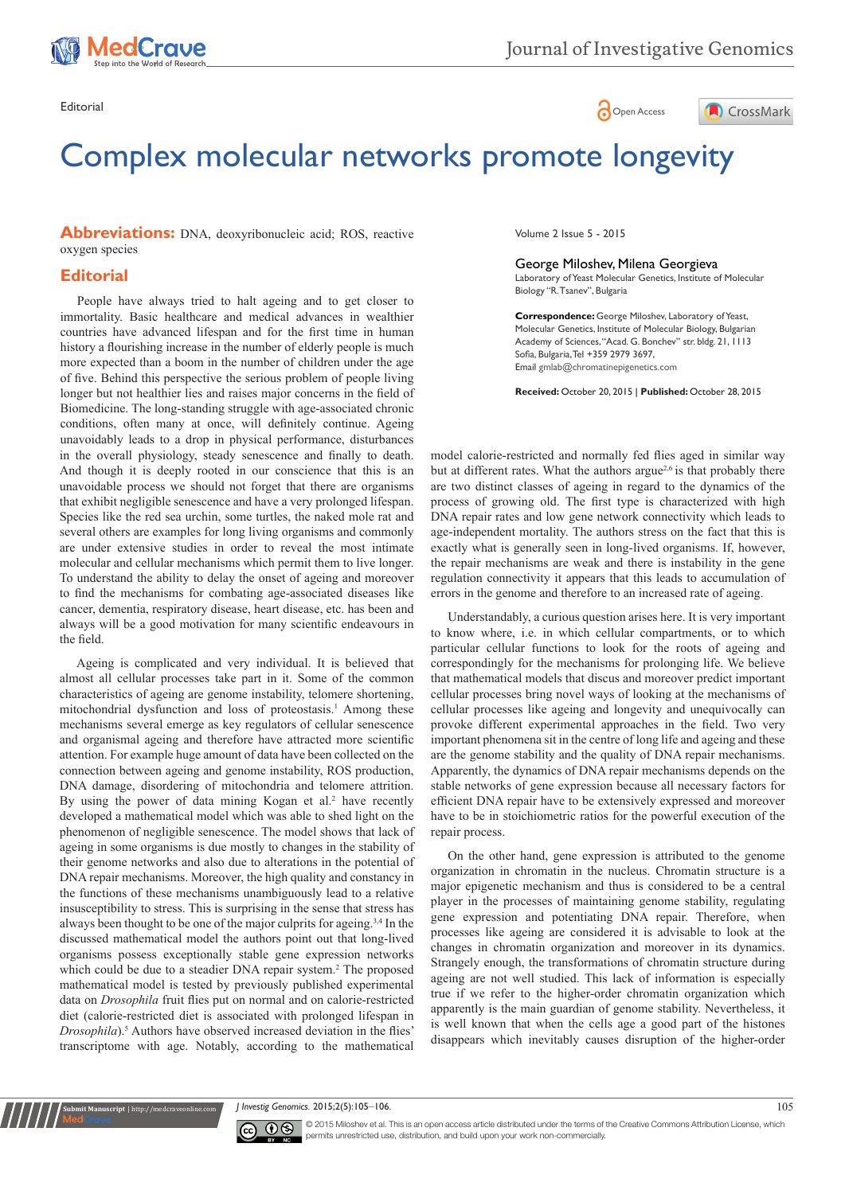

# Editorial Communication of the Communication of the Communication of the Communication of Communication of Communication of Communication of Communication of Communication of Communication of Communication of Communication



# Complex molecular networks promote longevity

**Abbreviations:** DNA, deoxyribonucleic acid; ROS, reactive oxygen species

### **Editorial**

in the overall physiology, steady senescence and finally to death. And though it is deeply rooted in our conscience that this is an unavoidable process we should not forget that there are organisms that exhibit negligible senescence and have a very prolonged lifespan. Species like the red sea urchin, some turtles, the naked mole rat and several others are examples for long living organisms and commonly are under extensive studies in order to reveal the most intimate molecular and cellular mechanisms which permit them to live longer. To understand the ability to delay the onset of ageing and moreover to find the mechanisms for combating age-associated diseases like cancer, dementia, respiratory disease, heart disease, etc. has been and always will be a good motivation for many scientific endeavours in the field. People have always tried to halt ageing and to get closer to immortality. Basic healthcare and medical advances in wealthier countries have advanced lifespan and for the first time in human history a flourishing increase in the number of elderly people is much more expected than a boom in the number of children under the age of five. Behind this perspective the serious problem of people living longer but not healthier lies and raises major concerns in the field of Biomedicine. The long-standing struggle with age-associated chronic conditions, often many at once, will definitely continue. Ageing unavoidably leads to a drop in physical performance, disturbances

Ageing is complicated and very individual. It is believed that almost all cellular processes take part in it. Some of the common characteristics of ageing are genome instability, telomere shortening, mitochondrial dysfunction and loss of proteostasis.<sup>1</sup> Among these mechanisms several emerge as key regulators of cellular senescence and organismal ageing and therefore have attracted more scientific attention. For example huge amount of data have been collected on the connection between ageing and genome instability, ROS production, DNA damage, disordering of mitochondria and telomere attrition. By using the power of data mining Kogan et al.<sup>2</sup> have recently developed a mathematical model which was able to shed light on the phenomenon of negligible senescence. The model shows that lack of ageing in some organisms is due mostly to changes in the stability of their genome networks and also due to alterations in the potential of DNA repair mechanisms. Moreover, the high quality and constancy in the functions of these mechanisms unambiguously lead to a relative insusceptibility to stress. This is surprising in the sense that stress has always been thought to be one of the major culprits for ageing.3,4 In the discussed mathematical model the authors point out that long-lived organisms possess exceptionally stable gene expression networks which could be due to a steadier DNA repair system.<sup>2</sup> The proposed mathematical model is tested by previously published experimental data on *Drosophila* fruit flies put on normal and on calorie-restricted diet (calorie-restricted diet is associated with prolonged lifespan in *Drosophila*).<sup>5</sup> Authors have observed increased deviation in the flies' transcriptome with age. Notably, according to the mathematical

Volume 2 Issue 5 - 2015

#### George Miloshev, Milena Georgieva

Laboratory of Yeast Molecular Genetics, Institute of Molecular Biology "R. Tsanev", Bulgaria

**Correspondence:** George Miloshev, Laboratory of Yeast, Molecular Genetics, Institute of Molecular Biology, Bulgarian Academy of Sciences, "Acad. G. Bonchev" str. bldg. 21, 1113 Sofia, Bulgaria, Tel +359 2979 3697, Email gmlab@chromatinepigenetics.com

**Received:** October 20, 2015 | **Published:** October 28, 2015

model calorie-restricted and normally fed flies aged in similar way but at different rates. What the authors argue<sup>2,6</sup> is that probably there are two distinct classes of ageing in regard to the dynamics of the process of growing old. The first type is characterized with high DNA repair rates and low gene network connectivity which leads to age-independent mortality. The authors stress on the fact that this is exactly what is generally seen in long-lived organisms. If, however, the repair mechanisms are weak and there is instability in the gene regulation connectivity it appears that this leads to accumulation of errors in the genome and therefore to an increased rate of ageing.

Understandably, a curious question arises here. It is very important to know where, i.e. in which cellular compartments, or to which particular cellular functions to look for the roots of ageing and correspondingly for the mechanisms for prolonging life. We believe that mathematical models that discus and moreover predict important cellular processes bring novel ways of looking at the mechanisms of cellular processes like ageing and longevity and unequivocally can provoke different experimental approaches in the field. Two very important phenomena sit in the centre of long life and ageing and these are the genome stability and the quality of DNA repair mechanisms. Apparently, the dynamics of DNA repair mechanisms depends on the stable networks of gene expression because all necessary factors for efficient DNA repair have to be extensively expressed and moreover have to be in stoichiometric ratios for the powerful execution of the repair process.

On the other hand, gene expression is attributed to the genome organization in chromatin in the nucleus. Chromatin structure is a major epigenetic mechanism and thus is considered to be a central player in the processes of maintaining genome stability, regulating gene expression and potentiating DNA repair. Therefore, when processes like ageing are considered it is advisable to look at the changes in chromatin organization and moreover in its dynamics. Strangely enough, the transformations of chromatin structure during ageing are not well studied. This lack of information is especially true if we refer to the higher-order chromatin organization which apparently is the main guardian of genome stability. Nevertheless, it is well known that when the cells age a good part of the histones disappears which inevitably causes disruption of the higher-order

*J Investig Genomics.* 2015;2(5):105‒106. 105



**nit Manuscript** | http://medcraveonline.c

© 2015 Miloshev et al. This is an open access article distributed under the terms of the [Creative Commons Attribution License,](https://creativecommons.org/licenses/by-nc/4.0/) which permits unrestricted use, distribution, and build upon your work non-commercially.